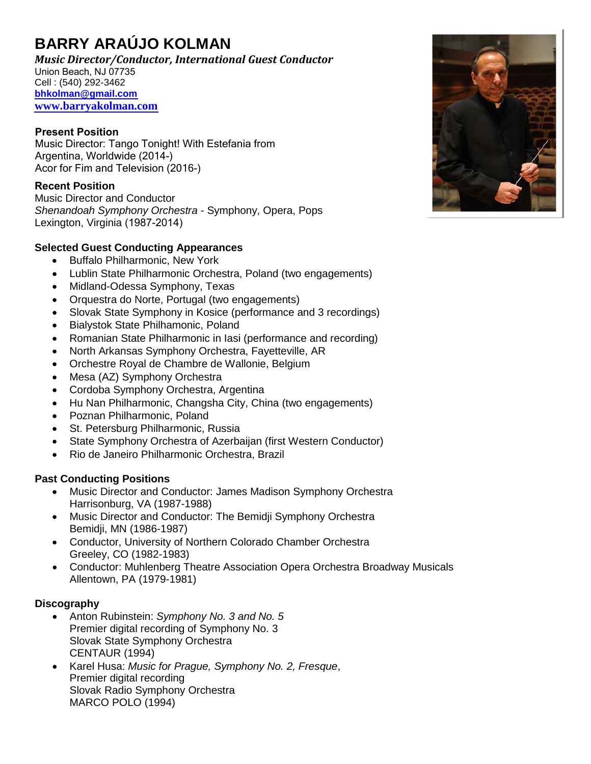# **BARRY ARAÚJO KOLMAN**

*Music Director/Conductor, International Guest Conductor* Cell : (540) 292-3462 **[bhkolman@gmail.com](mailto:bhkolman@gmail.com) [www.barryakolman.com](http://www.barryakolman.com/)** Union Beach, NJ 07735

### **Present Position**

Music Director: Tango Tonight! With Estefania from Argentina, Worldwide (2014-) Acor for Fim and Television (2016-)

## **Recent Position**

Music Director and Conductor *Shenandoah Symphony Orchestra -* Symphony, Opera, Pops Lexington, Virginia (1987-2014)

## **Selected Guest Conducting Appearances**

- Buffalo Philharmonic, New York
- Lublin State Philharmonic Orchestra, Poland (two engagements)
- Midland-Odessa Symphony, Texas
- Orquestra do Norte, Portugal (two engagements)
- Slovak State Symphony in Kosice (performance and 3 recordings)
- Bialystok State Philhamonic, Poland
- Romanian State Philharmonic in Iasi (performance and recording)
- North Arkansas Symphony Orchestra, Fayetteville, AR
- Orchestre Royal de Chambre de Wallonie, Belgium
- Mesa (AZ) Symphony Orchestra
- Cordoba Symphony Orchestra, Argentina
- Hu Nan Philharmonic, Changsha City, China (two engagements)
- Poznan Philharmonic, Poland
- St. Petersburg Philharmonic, Russia
- State Symphony Orchestra of Azerbaijan (first Western Conductor)
- Rio de Janeiro Philharmonic Orchestra, Brazil

### **Past Conducting Positions**

- Music Director and Conductor: James Madison Symphony Orchestra Harrisonburg, VA (1987-1988)
- Music Director and Conductor: The Bemidii Symphony Orchestra Bemidji, MN (1986-1987)
- Conductor, University of Northern Colorado Chamber Orchestra Greeley, CO (1982-1983)
- Conductor: Muhlenberg Theatre Association Opera Orchestra Broadway Musicals Allentown, PA (1979-1981)

### **Discography**

- Anton Rubinstein: *Symphony No. 3 and No. 5* Premier digital recording of Symphony No. 3 Slovak State Symphony Orchestra CENTAUR (1994)
- Karel Husa: *Music for Prague, Symphony No. 2, Fresque*, Premier digital recording Slovak Radio Symphony Orchestra MARCO POLO (1994)

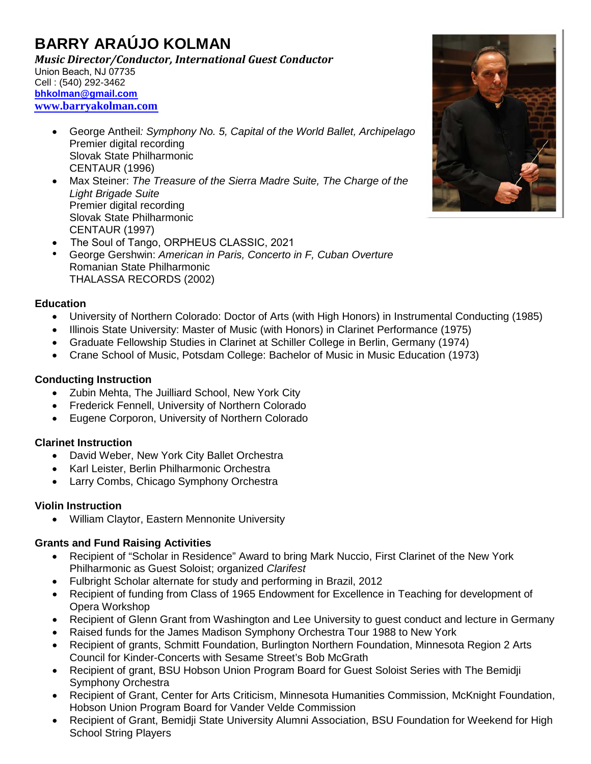# **BARRY ARAÚJO KOLMAN**

*Music Director/Conductor, International Guest Conductor* Cell : (540) 292-3462 **[bhkolman@gmail.com](mailto:bhkolman@gmail.com) [www.barryakolman.com](http://www.barryakolman.com/)** Union Beach, NJ 07735

- George Antheil*: Symphony No. 5, Capital of the World Ballet, Archipelago* Premier digital recording Slovak State Philharmonic CENTAUR (1996)
- Max Steiner: *The Treasure of the Sierra Madre Suite, The Charge of the Light Brigade Suite* Premier digital recording Slovak State Philharmonic CENTAUR (1997)
- The Soul of Tango, ORPHEUS CLASSIC, 2021
- George Gershwin: *American in Paris, Concerto in F, Cuban Overture* Romanian State Philharmonic THALASSA RECORDS (2002)

#### **Education**

- University of Northern Colorado: Doctor of Arts (with High Honors) in Instrumental Conducting (1985)
- Illinois State University: Master of Music (with Honors) in Clarinet Performance (1975)
- Graduate Fellowship Studies in Clarinet at Schiller College in Berlin, Germany (1974)
- Crane School of Music, Potsdam College: Bachelor of Music in Music Education (1973)

### **Conducting Instruction**

- Zubin Mehta, The Juilliard School, New York City
- Frederick Fennell, University of Northern Colorado
- Eugene Corporon, University of Northern Colorado

### **Clarinet Instruction**

- David Weber, New York City Ballet Orchestra
- Karl Leister, Berlin Philharmonic Orchestra
- Larry Combs, Chicago Symphony Orchestra

### **Violin Instruction**

• William Claytor, Eastern Mennonite University

### **Grants and Fund Raising Activities**

- Recipient of "Scholar in Residence" Award to bring Mark Nuccio, First Clarinet of the New York Philharmonic as Guest Soloist; organized *Clarifest*
- Fulbright Scholar alternate for study and performing in Brazil, 2012
- Recipient of funding from Class of 1965 Endowment for Excellence in Teaching for development of Opera Workshop
- Recipient of Glenn Grant from Washington and Lee University to guest conduct and lecture in Germany
- Raised funds for the James Madison Symphony Orchestra Tour 1988 to New York
- Recipient of grants, Schmitt Foundation, Burlington Northern Foundation, Minnesota Region 2 Arts Council for Kinder-Concerts with Sesame Street's Bob McGrath
- Recipient of grant, BSU Hobson Union Program Board for Guest Soloist Series with The Bemidji Symphony Orchestra
- Recipient of Grant, Center for Arts Criticism, Minnesota Humanities Commission, McKnight Foundation, Hobson Union Program Board for Vander Velde Commission
- Recipient of Grant, Bemidji State University Alumni Association, BSU Foundation for Weekend for High School String Players